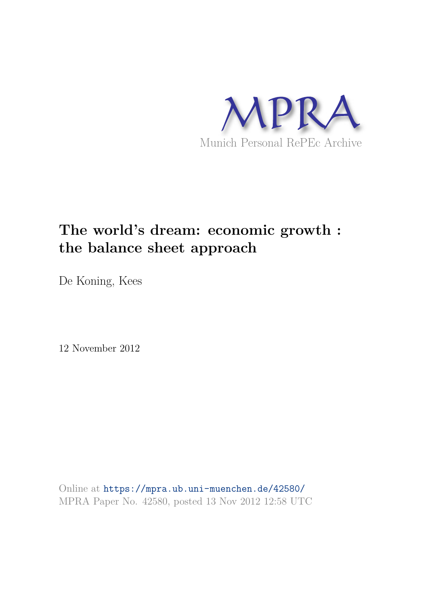

# **The world's dream: economic growth : the balance sheet approach**

De Koning, Kees

12 November 2012

Online at https://mpra.ub.uni-muenchen.de/42580/ MPRA Paper No. 42580, posted 13 Nov 2012 12:58 UTC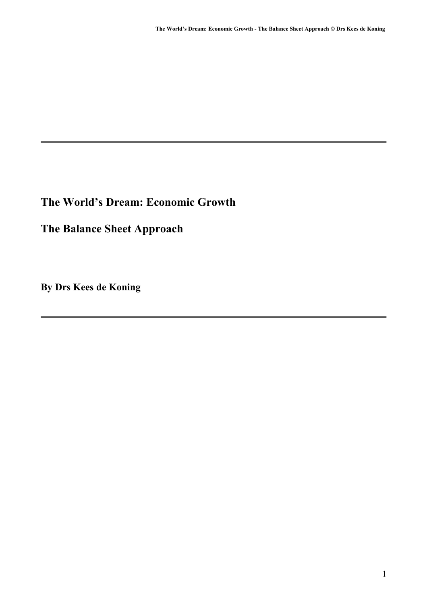## **The World's Dream: Economic Growth**

**The Balance Sheet Approach**

**By Drs Kees de Koning**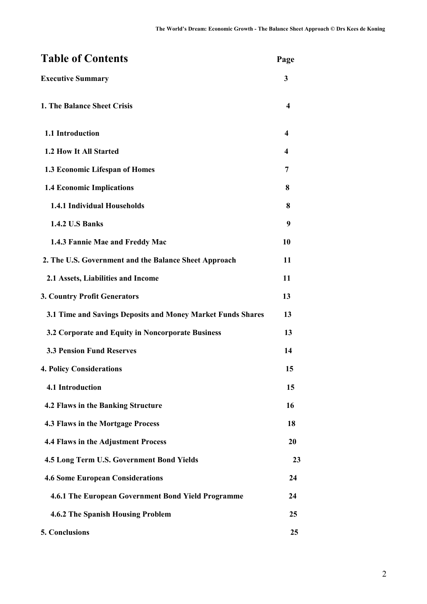| <b>Table of Contents</b>                                    | Page |
|-------------------------------------------------------------|------|
| <b>Executive Summary</b>                                    | 3    |
| 1. The Balance Sheet Crisis                                 | 4    |
| 1.1 Introduction                                            | 4    |
| 1.2 How It All Started                                      | 4    |
| 1.3 Economic Lifespan of Homes                              | 7    |
| <b>1.4 Economic Implications</b>                            | 8    |
| 1.4.1 Individual Households                                 | 8    |
| <b>1.4.2 U.S Banks</b>                                      | 9    |
| 1.4.3 Fannie Mae and Freddy Mac                             | 10   |
| 2. The U.S. Government and the Balance Sheet Approach       | 11   |
| 2.1 Assets, Liabilities and Income                          | 11   |
| <b>3. Country Profit Generators</b>                         | 13   |
| 3.1 Time and Savings Deposits and Money Market Funds Shares | 13   |
| 3.2 Corporate and Equity in Noncorporate Business           | 13   |
| <b>3.3 Pension Fund Reserves</b>                            | 14   |
| <b>4. Policy Considerations</b>                             | 15   |
| 4.1 Introduction                                            | 15   |
| 4.2 Flaws in the Banking Structure                          | 16   |
| 4.3 Flaws in the Mortgage Process                           | 18   |
| 4.4 Flaws in the Adjustment Process                         | 20   |
| 4.5 Long Term U.S. Government Bond Yields                   | 23   |
| <b>4.6 Some European Considerations</b>                     | 24   |
| 4.6.1 The European Government Bond Yield Programme          | 24   |
| <b>4.6.2 The Spanish Housing Problem</b>                    | 25   |
| 5. Conclusions                                              | 25   |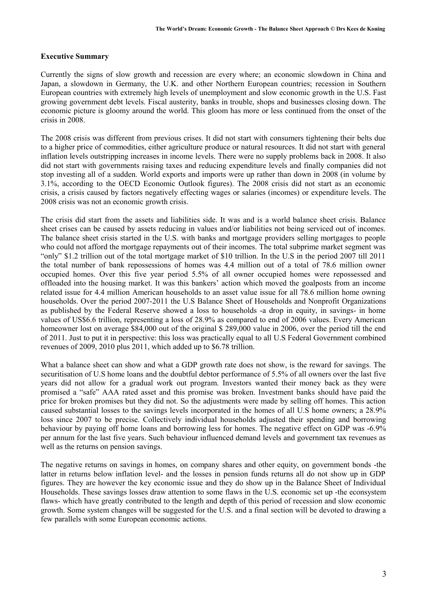#### **Executive Summary**

Currently the signs of slow growth and recession are every where; an economic slowdown in China and Japan, a slowdown in Germany, the U.K. and other Northern European countries; recession in Southern European countries with extremely high levels of unemployment and slow economic growth in the U.S. Fast growing government debt levels. Fiscal austerity, banks in trouble, shops and businesses closing down. The economic picture is gloomy around the world. This gloom has more or less continued from the onset of the crisis in 2008.

The 2008 crisis was different from previous crises. It did not start with consumers tightening their belts due to a higher price of commodities, either agriculture produce or natural resources. It did not start with general inflation levels outstripping increases in income levels. There were no supply problems back in 2008. It also did not start with governments raising taxes and reducing expenditure levels and finally companies did not stop investing all of a sudden. World exports and imports were up rather than down in 2008 (in volume by 3.1%, according to the OECD Economic Outlook figures). The 2008 crisis did not start as an economic crisis, a crisis caused by factors negatively effecting wages or salaries (incomes) or expenditure levels. The 2008 crisis was not an economic growth crisis.

The crisis did start from the assets and liabilities side. It was and is a world balance sheet crisis. Balance sheet crises can be caused by assets reducing in values and/or liabilities not being serviced out of incomes. The balance sheet crisis started in the U.S. with banks and mortgage providers selling mortgages to people who could not afford the mortgage repayments out of their incomes. The total subprime market segment was "only" \$1.2 trillion out of the total mortgage market of \$10 trillion. In the U.S in the period 2007 till 2011 the total number of bank repossessions of homes was 4.4 million out of a total of 78.6 million owner occupied homes. Over this five year period 5.5% of all owner occupied homes were repossessed and offloaded into the housing market. It was this bankers' action which moved the goalposts from an income related issue for 4.4 million American households to an asset value issue for all 78.6 million home owning households. Over the period 2007-2011 the U.S Balance Sheet of Households and Nonprofit Organizations as published by the Federal Reserve showed a loss to households -a drop in equity, in savings- in home values of US\$6.6 trillion, representing a loss of 28.9% as compared to end of 2006 values. Every American homeowner lost on average \$84,000 out of the original \$ 289,000 value in 2006, over the period till the end of 2011. Just to put it in perspective: this loss was practically equal to all U.S Federal Government combined revenues of 2009, 2010 plus 2011, which added up to \$6.78 trillion.

What a balance sheet can show and what a GDP growth rate does not show, is the reward for savings. The securitisation of U.S home loans and the doubtful debtor performance of 5.5% of all owners over the last five years did not allow for a gradual work out program. Investors wanted their money back as they were promised a "safe" AAA rated asset and this promise was broken. Investment banks should have paid the price for broken promises but they did not. So the adjustments were made by selling off homes. This action caused substantial losses to the savings levels incorporated in the homes of all U.S home owners; a 28.9% loss since 2007 to be precise. Collectively individual households adjusted their spending and borrowing behaviour by paying off home loans and borrowing less for homes. The negative effect on GDP was -6.9% per annum for the last five years. Such behaviour influenced demand levels and government tax revenues as well as the returns on pension savings.

The negative returns on savings in homes, on company shares and other equity, on government bonds -the latter in returns below inflation level- and the losses in pension funds returns all do not show up in GDP figures. They are however the key economic issue and they do show up in the Balance Sheet of Individual Households. These savings losses draw attention to some flaws in the U.S. economic set up -the econsystem flaws- which have greatly contributed to the length and depth of this period of recession and slow economic growth. Some system changes will be suggested for the U.S. and a final section will be devoted to drawing a few parallels with some European economic actions.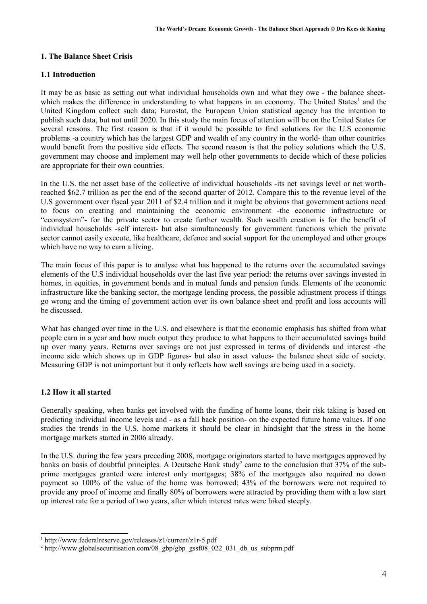## **1. The Balance Sheet Crisis**

## **1.1 Introduction**

It may be as basic as setting out what individual households own and what they owe - the balance sheetwhich makes the difference in understanding to what happens in an economy. The United States<sup>1</sup> and the United Kingdom collect such data; Eurostat, the European Union statistical agency has the intention to publish such data, but not until 2020. In this study the main focus of attention will be on the United States for several reasons. The first reason is that if it would be possible to find solutions for the U.S economic problems -a country which has the largest GDP and wealth of any country in the world- than other countries would benefit from the positive side effects. The second reason is that the policy solutions which the U.S. government may choose and implement may well help other governments to decide which of these policies are appropriate for their own countries.

In the U.S. the net asset base of the collective of individual households -its net savings level or net worthreached \$62.7 trillion as per the end of the second quarter of 2012. Compare this to the revenue level of the U.S government over fiscal year 2011 of \$2.4 trillion and it might be obvious that government actions need to focus on creating and maintaining the economic environment -the economic infrastructure or "econsystem"- for the private sector to create further wealth. Such wealth creation is for the benefit of individual households -self interest- but also simultaneously for government functions which the private sector cannot easily execute, like healthcare, defence and social support for the unemployed and other groups which have no way to earn a living.

The main focus of this paper is to analyse what has happened to the returns over the accumulated savings elements of the U.S individual households over the last five year period: the returns over savings invested in homes, in equities, in government bonds and in mutual funds and pension funds. Elements of the economic infrastructure like the banking sector, the mortgage lending process, the possible adjustment process if things go wrong and the timing of government action over its own balance sheet and profit and loss accounts will be discussed.

What has changed over time in the U.S. and elsewhere is that the economic emphasis has shifted from what people earn in a year and how much output they produce to what happens to their accumulated savings build up over many years. Returns over savings are not just expressed in terms of dividends and interest -the income side which shows up in GDP figures- but also in asset values- the balance sheet side of society. Measuring GDP is not unimportant but it only reflects how well savings are being used in a society.

## **1.2 How it all started**

Generally speaking, when banks get involved with the funding of home loans, their risk taking is based on predicting individual income levels and - as a fall back position- on the expected future home values. If one studies the trends in the U.S. home markets it should be clear in hindsight that the stress in the home mortgage markets started in 2006 already.

In the U.S. during the few years preceding 2008, mortgage originators started to have mortgages approved by banks on basis of doubtful principles. A Deutsche Bank study<sup>2</sup> came to the conclusion that 37% of the subprime mortgages granted were interest only mortgages; 38% of the mortgages also required no down payment so 100% of the value of the home was borrowed; 43% of the borrowers were not required to provide any proof of income and finally 80% of borrowers were attracted by providing them with a low start up interest rate for a period of two years, after which interest rates were hiked steeply.

<sup>1</sup> http://www.federalreserve.gov/releases/z1/current/z1r-5.pdf

<sup>&</sup>lt;sup>2</sup> http://www.globalsecuritisation.com/08\_gbp/gbp\_gssf08\_022\_031\_db\_us\_subprm.pdf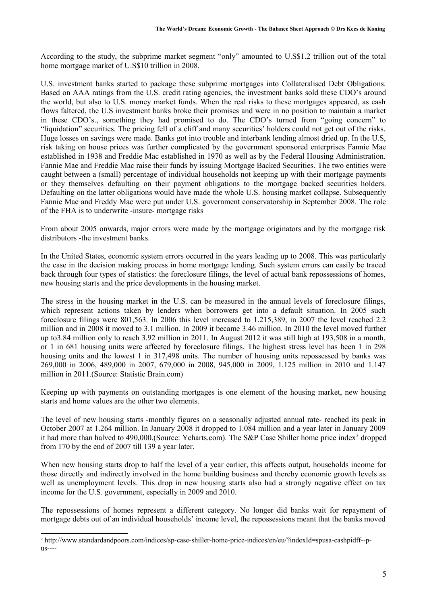According to the study, the subprime market segment "only" amounted to U.S\$1.2 trillion out of the total home mortgage market of U.S\$10 trillion in 2008.

U.S. investment banks started to package these subprime mortgages into Collateralised Debt Obligations. Based on AAA ratings from the U.S. credit rating agencies, the investment banks sold these CDO's around the world, but also to U.S. money market funds. When the real risks to these mortgages appeared, as cash flows faltered, the U.S investment banks broke their promises and were in no position to maintain a market in these CDO's., something they had promised to do. The CDO's turned from "going concern" to "liquidation" securities. The pricing fell of a cliff and many securities' holders could not get out of the risks. Huge losses on savings were made. Banks got into trouble and interbank lending almost dried up. In the U.S, risk taking on house prices was further complicated by the government sponsored enterprises Fannie Mae established in 1938 and Freddie Mac established in 1970 as well as by the Federal Housing Administration. Fannie Mae and Freddie Mac raise their funds by issuing Mortgage Backed Securities. The two entities were caught between a (small) percentage of individual households not keeping up with their mortgage payments or they themselves defaulting on their payment obligations to the mortgage backed securities holders. Defaulting on the latter obligations would have made the whole U.S. housing market collapse. Subsequently Fannie Mae and Freddy Mac were put under U.S. government conservatorship in September 2008. The role of the FHA is to underwrite -insure- mortgage risks

From about 2005 onwards, major errors were made by the mortgage originators and by the mortgage risk distributors -the investment banks.

In the United States, economic system errors occurred in the years leading up to 2008. This was particularly the case in the decision making process in home mortgage lending. Such system errors can easily be traced back through four types of statistics: the foreclosure filings, the level of actual bank repossessions of homes, new housing starts and the price developments in the housing market.

The stress in the housing market in the U.S. can be measured in the annual levels of foreclosure filings, which represent actions taken by lenders when borrowers get into a default situation. In 2005 such foreclosure filings were 801,563. In 2006 this level increased to 1.215,389, in 2007 the level reached 2.2 million and in 2008 it moved to 3.1 million. In 2009 it became 3.46 million. In 2010 the level moved further up to3.84 million only to reach 3.92 million in 2011. In August 2012 it was still high at 193,508 in a month, or 1 in 681 housing units were affected by foreclosure filings. The highest stress level has been 1 in 298 housing units and the lowest 1 in 317,498 units. The number of housing units repossessed by banks was 269,000 in 2006, 489,000 in 2007, 679,000 in 2008, 945,000 in 2009, 1.125 million in 2010 and 1.147 million in 2011.(Source: Statistic Brain.com)

Keeping up with payments on outstanding mortgages is one element of the housing market, new housing starts and home values are the other two elements.

The level of new housing starts -monthly figures on a seasonally adjusted annual rate- reached its peak in October 2007 at 1.264 million. In January 2008 it dropped to 1.084 million and a year later in January 2009 it had more than halved to 490,000. (Source: Ycharts.com). The S&P Case Shiller home price index<sup>3</sup> dropped from 170 by the end of 2007 till 139 a year later.

When new housing starts drop to half the level of a year earlier, this affects output, households income for those directly and indirectly involved in the home building business and thereby economic growth levels as well as unemployment levels. This drop in new housing starts also had a strongly negative effect on tax income for the U.S. government, especially in 2009 and 2010.

The repossessions of homes represent a different category. No longer did banks wait for repayment of mortgage debts out of an individual households' income level, the repossessions meant that the banks moved

<sup>&</sup>lt;sup>3</sup> http://www.standardandpoors.com/indices/sp-case-shiller-home-price-indices/en/eu/?indexId=spusa-cashpidff--p- $11S---$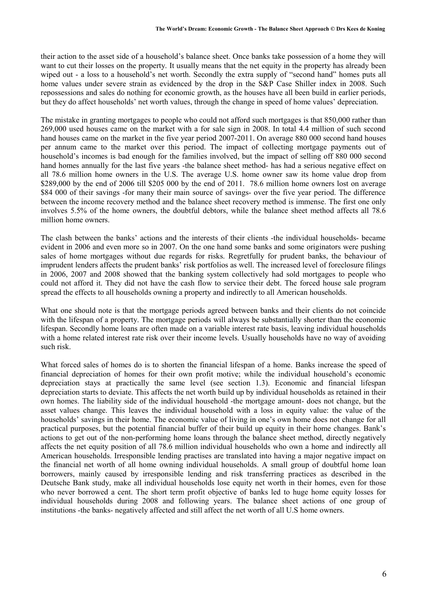their action to the asset side of a household's balance sheet. Once banks take possession of a home they will want to cut their losses on the property. It usually means that the net equity in the property has already been wiped out - a loss to a household's net worth. Secondly the extra supply of "second hand" homes puts all home values under severe strain as evidenced by the drop in the S&P Case Shiller index in 2008. Such repossessions and sales do nothing for economic growth, as the houses have all been build in earlier periods, but they do affect households' net worth values, through the change in speed of home values' depreciation.

The mistake in granting mortgages to people who could not afford such mortgages is that 850,000 rather than 269,000 used houses came on the market with a for sale sign in 2008. In total 4.4 million of such second hand houses came on the market in the five year period 2007-2011. On average 880 000 second hand houses per annum came to the market over this period. The impact of collecting mortgage payments out of household's incomes is bad enough for the families involved, but the impact of selling off 880 000 second hand homes annually for the last five years -the balance sheet method- has had a serious negative effect on all 78.6 million home owners in the U.S. The average U.S. home owner saw its home value drop from \$289,000 by the end of 2006 till \$205 000 by the end of 2011. 78.6 million home owners lost on average \$84 000 of their savings -for many their main source of savings- over the five year period. The difference between the income recovery method and the balance sheet recovery method is immense. The first one only involves 5.5% of the home owners, the doubtful debtors, while the balance sheet method affects all 78.6 million home owners.

The clash between the banks' actions and the interests of their clients -the individual households- became evident in 2006 and even more so in 2007. On the one hand some banks and some originators were pushing sales of home mortgages without due regards for risks. Regretfully for prudent banks, the behaviour of imprudent lenders affects the prudent banks' risk portfolios as well. The increased level of foreclosure filings in 2006, 2007 and 2008 showed that the banking system collectively had sold mortgages to people who could not afford it. They did not have the cash flow to service their debt. The forced house sale program spread the effects to all households owning a property and indirectly to all American households.

What one should note is that the mortgage periods agreed between banks and their clients do not coincide with the lifespan of a property. The mortgage periods will always be substantially shorter than the economic lifespan. Secondly home loans are often made on a variable interest rate basis, leaving individual households with a home related interest rate risk over their income levels. Usually households have no way of avoiding such risk.

What forced sales of homes do is to shorten the financial lifespan of a home. Banks increase the speed of financial depreciation of homes for their own profit motive; while the individual household's economic depreciation stays at practically the same level (see section 1.3). Economic and financial lifespan depreciation starts to deviate. This affects the net worth build up by individual households as retained in their own homes. The liability side of the individual household -the mortgage amount- does not change, but the asset values change. This leaves the individual household with a loss in equity value: the value of the households' savings in their home. The economic value of living in one's own home does not change for all practical purposes, but the potential financial buffer of their build up equity in their home changes. Bank's actions to get out of the non-performing home loans through the balance sheet method, directly negatively affects the net equity position of all 78.6 million individual households who own a home and indirectly all American households. Irresponsible lending practises are translated into having a major negative impact on the financial net worth of all home owning individual households. A small group of doubtful home loan borrowers, mainly caused by irresponsible lending and risk transferring practices as described in the Deutsche Bank study, make all individual households lose equity net worth in their homes, even for those who never borrowed a cent. The short term profit objective of banks led to huge home equity losses for individual households during 2008 and following years. The balance sheet actions of one group of institutions -the banks- negatively affected and still affect the net worth of all U.S home owners.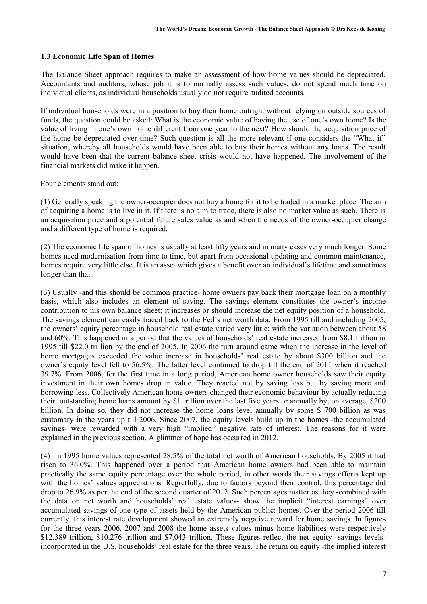#### **1.3 Economic Life Span of Homes**

The Balance Sheet approach requires to make an assessment of how home values should be depreciated. Accountants and auditors, whose job it is to normally assess such values, do not spend much time on individual clients, as individual households usually do not require audited accounts.

If individual households were in a position to buy their home outright without relying on outside sources of funds, the question could be asked: What is the economic value of having the use of one's own home? Is the value of living in one's own home different from one year to the next? How should the acquisition price of the home be depreciated over time? Such question is all the more relevant if one considers the "What if" situation, whereby all households would have been able to buy their homes without any loans. The result would have been that the current balance sheet crisis would not have happened. The involvement of the financial markets did make it happen.

Four elements stand out:

(1) Generally speaking the owner-occupier does not buy a home for it to be traded in a market place. The aim of acquiring a home is to live in it. If there is no aim to trade, there is also no market value as such. There is an acquisition price and a potential future sales value as and when the needs of the owner-occupier change and a different type of home is required.

(2) The economic life span of homes is usually at least fifty years and in many cases very much longer. Some homes need modernisation from time to time, but apart from occasional updating and common maintenance, homes require very little else. It is an asset which gives a benefit over an individual's lifetime and sometimes longer than that.

(3) Usually -and this should be common practice- home owners pay back their mortgage loan on a monthly basis, which also includes an element of saving. The savings element constitutes the owner's income contribution to his own balance sheet; it increases or should increase the net equity position of a household. The savings element can easily traced back to the Fed's net worth data. From 1995 till and including 2005, the owners' equity percentage in household real estate varied very little; with the variation between about 58 and 60%. This happened in a period that the values of households' real estate increased from \$8.1 trillion in 1995 till \$22.0 trillion by the end of 2005. In 2006 the turn around came when the increase in the level of home mortgages exceeded the value increase in households' real estate by about \$300 billion and the owner's equity level fell to 56.5%. The latter level continued to drop till the end of 2011 when it reached 39.7%. From 2006, for the first time in a long period, American home owner households saw their equity investment in their own homes drop in value. They reacted not by saving less but by saving more and borrowing less. Collectively American home owners changed their economic behaviour by actually reducing their outstanding home loans amount by \$1 trillion over the last five years or annually by, on average, \$200 billion. In doing so, they did not increase the home loans level annually by some \$ 700 billion as was customary in the years up till 2006. Since 2007, the equity levels build up in the homes -the accumulated savings- were rewarded with a very high "implied" negative rate of interest. The reasons for it were explained in the previous section. A glimmer of hope has occurred in 2012.

(4) In 1995 home values represented 28.5% of the total net worth of American households. By 2005 it had risen to 36.0%. This happened over a period that American home owners had been able to maintain practically the same equity percentage over the whole period, in other words their savings efforts kept up with the homes' values appreciations. Regretfully, due to factors beyond their control, this percentage did drop to 26.9% as per the end of the second quarter of 2012. Such percentages matter as they -combined with the data on net worth and households' real estate values- show the implicit "interest earnings" over accumulated savings of one type of assets held by the American public: homes. Over the period 2006 till currently, this interest rate development showed an extremely negative reward for home savings. In figures for the three years 2006, 2007 and 2008 the home assets values minus home liabilities were respectively \$12.389 trillion, \$10.276 trillion and \$7.043 trillion. These figures reflect the net equity -savings levelsincorporated in the U.S. households' real estate for the three years. The return on equity -the implied interest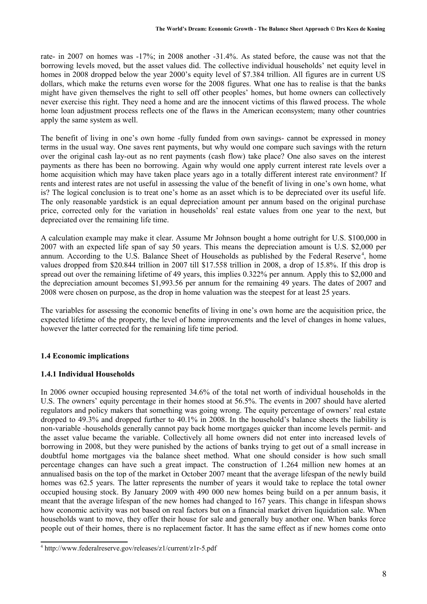rate- in 2007 on homes was -17%; in 2008 another -31.4%. As stated before, the cause was not that the borrowing levels moved, but the asset values did. The collective individual households' net equity level in homes in 2008 dropped below the year 2000's equity level of \$7.384 trillion. All figures are in current US dollars, which make the returns even worse for the 2008 figures. What one has to realise is that the banks might have given themselves the right to sell off other peoples' homes, but home owners can collectively never exercise this right. They need a home and are the innocent victims of this flawed process. The whole home loan adjustment process reflects one of the flaws in the American econsystem; many other countries apply the same system as well.

The benefit of living in one's own home -fully funded from own savings- cannot be expressed in money terms in the usual way. One saves rent payments, but why would one compare such savings with the return over the original cash lay-out as no rent payments (cash flow) take place? One also saves on the interest payments as there has been no borrowing. Again why would one apply current interest rate levels over a home acquisition which may have taken place years ago in a totally different interest rate environment? If rents and interest rates are not useful in assessing the value of the benefit of living in one's own home, what is? The logical conclusion is to treat one's home as an asset which is to be depreciated over its useful life. The only reasonable yardstick is an equal depreciation amount per annum based on the original purchase price, corrected only for the variation in households' real estate values from one year to the next, but depreciated over the remaining life time.

A calculation example may make it clear. Assume Mr Johnson bought a home outright for U.S. \$100,000 in 2007 with an expected life span of say 50 years. This means the depreciation amount is U.S. \$2,000 per annum. According to the U.S. Balance Sheet of Households as published by the Federal Reserve<sup>4</sup>, home values dropped from \$20.844 trillion in 2007 till \$17.558 trillion in 2008, a drop of 15.8%. If this drop is spread out over the remaining lifetime of 49 years, this implies 0.322% per annum. Apply this to \$2,000 and the depreciation amount becomes \$1,993.56 per annum for the remaining 49 years. The dates of 2007 and 2008 were chosen on purpose, as the drop in home valuation was the steepest for at least 25 years.

The variables for assessing the economic benefits of living in one's own home are the acquisition price, the expected lifetime of the property, the level of home improvements and the level of changes in home values, however the latter corrected for the remaining life time period.

## **1.4 Economic implications**

## **1.4.1 Individual Households**

In 2006 owner occupied housing represented 34.6% of the total net worth of individual households in the U.S. The owners' equity percentage in their homes stood at 56.5%. The events in 2007 should have alerted regulators and policy makers that something was going wrong. The equity percentage of owners' real estate dropped to 49.3% and dropped further to 40.1% in 2008. In the household's balance sheets the liability is non-variable -households generally cannot pay back home mortgages quicker than income levels permit- and the asset value became the variable. Collectively all home owners did not enter into increased levels of borrowing in 2008, but they were punished by the actions of banks trying to get out of a small increase in doubtful home mortgages via the balance sheet method. What one should consider is how such small percentage changes can have such a great impact. The construction of 1.264 million new homes at an annualised basis on the top of the market in October 2007 meant that the average lifespan of the newly build homes was 62.5 years. The latter represents the number of years it would take to replace the total owner occupied housing stock. By January 2009 with 490 000 new homes being build on a per annum basis, it meant that the average lifespan of the new homes had changed to 167 years. This change in lifespan shows how economic activity was not based on real factors but on a financial market driven liquidation sale. When households want to move, they offer their house for sale and generally buy another one. When banks force people out of their homes, there is no replacement factor. It has the same effect as if new homes come onto

<sup>4</sup> http://www.federalreserve.gov/releases/z1/current/z1r-5.pdf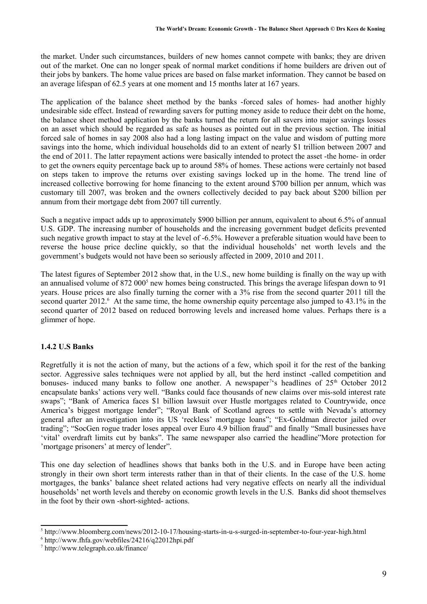the market. Under such circumstances, builders of new homes cannot compete with banks; they are driven out of the market. One can no longer speak of normal market conditions if home builders are driven out of their jobs by bankers. The home value prices are based on false market information. They cannot be based on an average lifespan of 62.5 years at one moment and 15 months later at 167 years.

The application of the balance sheet method by the banks -forced sales of homes- had another highly undesirable side effect. Instead of rewarding savers for putting money aside to reduce their debt on the home, the balance sheet method application by the banks turned the return for all savers into major savings losses on an asset which should be regarded as safe as houses as pointed out in the previous section. The initial forced sale of homes in say 2008 also had a long lasting impact on the value and wisdom of putting more savings into the home, which individual households did to an extent of nearly \$1 trillion between 2007 and the end of 2011. The latter repayment actions were basically intended to protect the asset -the home- in order to get the owners equity percentage back up to around 58% of homes. These actions were certainly not based on steps taken to improve the returns over existing savings locked up in the home. The trend line of increased collective borrowing for home financing to the extent around \$700 billion per annum, which was customary till 2007, was broken and the owners collectively decided to pay back about \$200 billion per annum from their mortgage debt from 2007 till currently.

Such a negative impact adds up to approximately \$900 billion per annum, equivalent to about 6.5% of annual U.S. GDP. The increasing number of households and the increasing government budget deficits prevented such negative growth impact to stay at the level of -6.5%. However a preferable situation would have been to reverse the house price decline quickly, so that the individual households' net worth levels and the government's budgets would not have been so seriously affected in 2009, 2010 and 2011.

The latest figures of September 2012 show that, in the U.S., new home building is finally on the way up with an annualised volume of 872 000<sup>5</sup> new homes being constructed. This brings the average lifespan down to 91 years. House prices are also finally turning the corner with a 3% rise from the second quarter 2011 till the second quarter 2012.<sup>6</sup> At the same time, the home ownership equity percentage also jumped to 43.1% in the second quarter of 2012 based on reduced borrowing levels and increased home values. Perhaps there is a glimmer of hope.

## **1.4.2 U.S Banks**

Regretfully it is not the action of many, but the actions of a few, which spoil it for the rest of the banking sector. Aggressive sales techniques were not applied by all, but the herd instinct -called competition and bonuses- induced many banks to follow one another. A newspaper<sup>7'</sup>s headlines of 25<sup>th</sup> October 2012 encapsulate banks' actions very well. "Banks could face thousands of new claims over mis-sold interest rate swaps"; "Bank of America faces \$1 billion lawsuit over Hustle mortgages related to Countrywide, once America's biggest mortgage lender"; "Royal Bank of Scotland agrees to settle with Nevada's attorney general after an investigation into its US 'reckless' mortgage loans"; "Ex-Goldman director jailed over trading"; "SocGen rogue trader loses appeal over Euro 4.9 billion fraud" and finally "Small businesses have 'vital' overdraft limits cut by banks". The same newspaper also carried the headline"More protection for 'mortgage prisoners' at mercy of lender".

This one day selection of headlines shows that banks both in the U.S. and in Europe have been acting strongly in their own short term interests rather than in that of their clients. In the case of the U.S. home mortgages, the banks' balance sheet related actions had very negative effects on nearly all the individual households' net worth levels and thereby on economic growth levels in the U.S. Banks did shoot themselves in the foot by their own -short-sighted- actions.

<sup>5</sup> http://www.bloomberg.com/news/2012-10-17/housing-starts-in-u-s-surged-in-september-to-four-year-high.html

<sup>6</sup> http://www.fhfa.gov/webfiles/24216/q22012hpi.pdf

<sup>7</sup> http://www.telegraph.co.uk/finance/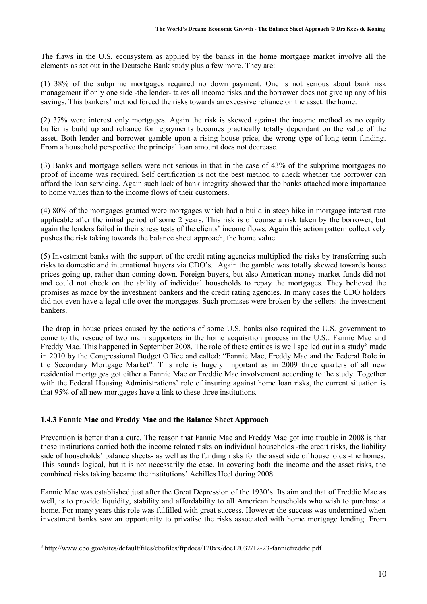The flaws in the U.S. econsystem as applied by the banks in the home mortgage market involve all the elements as set out in the Deutsche Bank study plus a few more. They are:

(1) 38% of the subprime mortgages required no down payment. One is not serious about bank risk management if only one side -the lender- takes all income risks and the borrower does not give up any of his savings. This bankers' method forced the risks towards an excessive reliance on the asset: the home.

(2) 37% were interest only mortgages. Again the risk is skewed against the income method as no equity buffer is build up and reliance for repayments becomes practically totally dependant on the value of the asset. Both lender and borrower gamble upon a rising house price, the wrong type of long term funding. From a household perspective the principal loan amount does not decrease.

(3) Banks and mortgage sellers were not serious in that in the case of 43% of the subprime mortgages no proof of income was required. Self certification is not the best method to check whether the borrower can afford the loan servicing. Again such lack of bank integrity showed that the banks attached more importance to home values than to the income flows of their customers.

(4) 80% of the mortgages granted were mortgages which had a build in steep hike in mortgage interest rate applicable after the initial period of some 2 years. This risk is of course a risk taken by the borrower, but again the lenders failed in their stress tests of the clients' income flows. Again this action pattern collectively pushes the risk taking towards the balance sheet approach, the home value.

(5) Investment banks with the support of the credit rating agencies multiplied the risks by transferring such risks to domestic and international buyers via CDO's. Again the gamble was totally skewed towards house prices going up, rather than coming down. Foreign buyers, but also American money market funds did not and could not check on the ability of individual households to repay the mortgages. They believed the promises as made by the investment bankers and the credit rating agencies. In many cases the CDO holders did not even have a legal title over the mortgages. Such promises were broken by the sellers: the investment bankers.

The drop in house prices caused by the actions of some U.S. banks also required the U.S. government to come to the rescue of two main supporters in the home acquisition process in the U.S.: Fannie Mae and Freddy Mac. This happened in September 2008. The role of these entities is well spelled out in a study<sup>8</sup> made in 2010 by the Congressional Budget Office and called: "Fannie Mae, Freddy Mac and the Federal Role in the Secondary Mortgage Market". This role is hugely important as in 2009 three quarters of all new residential mortgages got either a Fannie Mae or Freddie Mac involvement according to the study. Together with the Federal Housing Administrations' role of insuring against home loan risks, the current situation is that 95% of all new mortgages have a link to these three institutions.

## **1.4.3 Fannie Mae and Freddy Mac and the Balance Sheet Approach**

Prevention is better than a cure. The reason that Fannie Mae and Freddy Mac got into trouble in 2008 is that these institutions carried both the income related risks on individual households -the credit risks, the liability side of households' balance sheets- as well as the funding risks for the asset side of households -the homes. This sounds logical, but it is not necessarily the case. In covering both the income and the asset risks, the combined risks taking became the institutions' Achilles Heel during 2008.

Fannie Mae was established just after the Great Depression of the 1930's. Its aim and that of Freddie Mac as well, is to provide liquidity, stability and affordability to all American households who wish to purchase a home. For many years this role was fulfilled with great success. However the success was undermined when investment banks saw an opportunity to privatise the risks associated with home mortgage lending. From

<sup>8</sup> http://www.cbo.gov/sites/default/files/cbofiles/ftpdocs/120xx/doc12032/12-23-fanniefreddie.pdf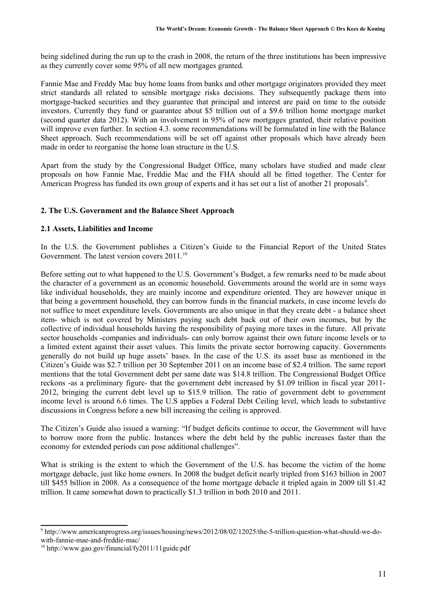being sidelined during the run up to the crash in 2008, the return of the three institutions has been impressive as they currently cover some 95% of all new mortgages granted.

Fannie Mae and Freddy Mac buy home loans from banks and other mortgage originators provided they meet strict standards all related to sensible mortgage risks decisions. They subsequently package them into mortgage-backed securities and they guarantee that principal and interest are paid on time to the outside investors. Currently they fund or guarantee about \$5 trillion out of a \$9.6 trillion home mortgage market (second quarter data 2012). With an involvement in 95% of new mortgages granted, their relative position will improve even further. In section 4.3, some recommendations will be formulated in line with the Balance Sheet approach. Such recommendations will be set off against other proposals which have already been made in order to reorganise the home loan structure in the U.S.

Apart from the study by the Congressional Budget Office, many scholars have studied and made clear proposals on how Fannie Mae, Freddie Mac and the FHA should all be fitted together. The Center for American Progress has funded its own group of experts and it has set out a list of another 21 proposals<sup>9</sup>.

## **2. The U.S. Government and the Balance Sheet Approach**

## **2.1 Assets, Liabilities and Income**

In the U.S. the Government publishes a Citizen's Guide to the Financial Report of the United States Government. The latest version covers 2011.<sup>10</sup>

Before setting out to what happened to the U.S. Government's Budget, a few remarks need to be made about the character of a government as an economic household. Governments around the world are in some ways like individual households, they are mainly income and expenditure oriented. They are however unique in that being a government household, they can borrow funds in the financial markets, in case income levels do not suffice to meet expenditure levels. Governments are also unique in that they create debt - a balance sheet item- which is not covered by Ministers paying such debt back out of their own incomes, but by the collective of individual households having the responsibility of paying more taxes in the future. All private sector households -companies and individuals- can only borrow against their own future income levels or to a limited extent against their asset values. This limits the private sector borrowing capacity. Governments generally do not build up huge assets' bases. In the case of the U.S. its asset base as mentioned in the Citizen's Guide was \$2.7 trillion per 30 September 2011 on an income base of \$2.4 trillion. The same report mentions that the total Government debt per same date was \$14.8 trillion. The Congressional Budget Office reckons -as a preliminary figure- that the government debt increased by \$1.09 trillion in fiscal year 2011- 2012, bringing the current debt level up to \$15.9 trillion. The ratio of government debt to government income level is around 6.6 times. The U.S applies a Federal Debt Ceiling level, which leads to substantive discussions in Congress before a new bill increasing the ceiling is approved.

The Citizen's Guide also issued a warning: "If budget deficits continue to occur, the Government will have to borrow more from the public. Instances where the debt held by the public increases faster than the economy for extended periods can pose additional challenges".

What is striking is the extent to which the Government of the U.S. has become the victim of the home mortgage debacle, just like home owners. In 2008 the budget deficit nearly tripled from \$163 billion in 2007 till \$455 billion in 2008. As a consequence of the home mortgage debacle it tripled again in 2009 till \$1.42 trillion. It came somewhat down to practically \$1.3 trillion in both 2010 and 2011.

<sup>9</sup> http://www.americanprogress.org/issues/housing/news/2012/08/02/12025/the-5-trillion-question-what-should-we-dowith-fannie-mae-and-freddie-mac/

 $10$  http://www.gao.gov/financial/fy2011/11guide.pdf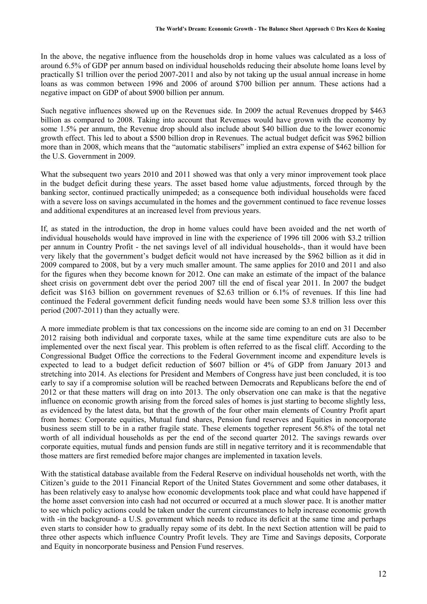In the above, the negative influence from the households drop in home values was calculated as a loss of around 6.5% of GDP per annum based on individual households reducing their absolute home loans level by practically \$1 trillion over the period 2007-2011 and also by not taking up the usual annual increase in home loans as was common between 1996 and 2006 of around \$700 billion per annum. These actions had a negative impact on GDP of about \$900 billion per annum.

Such negative influences showed up on the Revenues side. In 2009 the actual Revenues dropped by \$463 billion as compared to 2008. Taking into account that Revenues would have grown with the economy by some 1.5% per annum, the Revenue drop should also include about \$40 billion due to the lower economic growth effect. This led to about a \$500 billion drop in Revenues. The actual budget deficit was \$962 billion more than in 2008, which means that the "automatic stabilisers" implied an extra expense of \$462 billion for the U.S. Government in 2009.

What the subsequent two years 2010 and 2011 showed was that only a very minor improvement took place in the budget deficit during these years. The asset based home value adjustments, forced through by the banking sector, continued practically unimpeded; as a consequence both individual households were faced with a severe loss on savings accumulated in the homes and the government continued to face revenue losses and additional expenditures at an increased level from previous years.

If, as stated in the introduction, the drop in home values could have been avoided and the net worth of individual households would have improved in line with the experience of 1996 till 2006 with \$3.2 trillion per annum in Country Profit - the net savings level of all individual households-, than it would have been very likely that the government's budget deficit would not have increased by the \$962 billion as it did in 2009 compared to 2008, but by a very much smaller amount. The same applies for 2010 and 2011 and also for the figures when they become known for 2012. One can make an estimate of the impact of the balance sheet crisis on government debt over the period 2007 till the end of fiscal year 2011. In 2007 the budget deficit was \$163 billion on government revenues of \$2.63 trillion or 6.1% of revenues. If this line had continued the Federal government deficit funding needs would have been some \$3.8 trillion less over this period (2007-2011) than they actually were.

A more immediate problem is that tax concessions on the income side are coming to an end on 31 December 2012 raising both individual and corporate taxes, while at the same time expenditure cuts are also to be implemented over the next fiscal year. This problem is often referred to as the fiscal cliff. According to the Congressional Budget Office the corrections to the Federal Government income and expenditure levels is expected to lead to a budget deficit reduction of \$607 billion or 4% of GDP from January 2013 and stretching into 2014. As elections for President and Members of Congress have just been concluded, it is too early to say if a compromise solution will be reached between Democrats and Republicans before the end of 2012 or that these matters will drag on into 2013. The only observation one can make is that the negative influence on economic growth arising from the forced sales of homes is just starting to become slightly less, as evidenced by the latest data, but that the growth of the four other main elements of Country Profit apart from homes: Corporate equities, Mutual fund shares, Pension fund reserves and Equities in noncorporate business seem still to be in a rather fragile state. These elements together represent 56.8% of the total net worth of all individual households as per the end of the second quarter 2012. The savings rewards over corporate equities, mutual funds and pension funds are still in negative territory and it is recommendable that those matters are first remedied before major changes are implemented in taxation levels.

With the statistical database available from the Federal Reserve on individual households net worth, with the Citizen's guide to the 2011 Financial Report of the United States Government and some other databases, it has been relatively easy to analyse how economic developments took place and what could have happened if the home asset conversion into cash had not occurred or occurred at a much slower pace. It is another matter to see which policy actions could be taken under the current circumstances to help increase economic growth with -in the background- a U.S. government which needs to reduce its deficit at the same time and perhaps even starts to consider how to gradually repay some of its debt. In the next Section attention will be paid to three other aspects which influence Country Profit levels. They are Time and Savings deposits, Corporate and Equity in noncorporate business and Pension Fund reserves.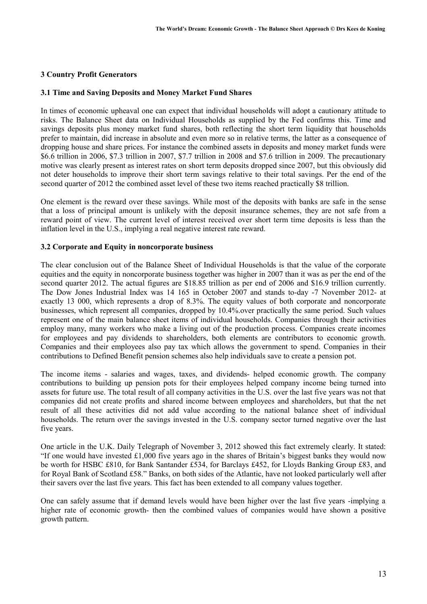## **3 Country Profit Generators**

#### **3.1 Time and Saving Deposits and Money Market Fund Shares**

In times of economic upheaval one can expect that individual households will adopt a cautionary attitude to risks. The Balance Sheet data on Individual Households as supplied by the Fed confirms this. Time and savings deposits plus money market fund shares, both reflecting the short term liquidity that households prefer to maintain, did increase in absolute and even more so in relative terms, the latter as a consequence of dropping house and share prices. For instance the combined assets in deposits and money market funds were \$6.6 trillion in 2006, \$7.3 trillion in 2007, \$7.7 trillion in 2008 and \$7.6 trillion in 2009. The precautionary motive was clearly present as interest rates on short term deposits dropped since 2007, but this obviously did not deter households to improve their short term savings relative to their total savings. Per the end of the second quarter of 2012 the combined asset level of these two items reached practically \$8 trillion.

One element is the reward over these savings. While most of the deposits with banks are safe in the sense that a loss of principal amount is unlikely with the deposit insurance schemes, they are not safe from a reward point of view. The current level of interest received over short term time deposits is less than the inflation level in the U.S., implying a real negative interest rate reward.

#### **3.2 Corporate and Equity in noncorporate business**

The clear conclusion out of the Balance Sheet of Individual Households is that the value of the corporate equities and the equity in noncorporate business together was higher in 2007 than it was as per the end of the second quarter 2012. The actual figures are \$18.85 trillion as per end of 2006 and \$16.9 trillion currently. The Dow Jones Industrial Index was 14 165 in October 2007 and stands to-day -7 November 2012- at exactly 13 000, which represents a drop of 8.3%. The equity values of both corporate and noncorporate businesses, which represent all companies, dropped by 10.4%.over practically the same period. Such values represent one of the main balance sheet items of individual households. Companies through their activities employ many, many workers who make a living out of the production process. Companies create incomes for employees and pay dividends to shareholders, both elements are contributors to economic growth. Companies and their employees also pay tax which allows the government to spend. Companies in their contributions to Defined Benefit pension schemes also help individuals save to create a pension pot.

The income items - salaries and wages, taxes, and dividends- helped economic growth. The company contributions to building up pension pots for their employees helped company income being turned into assets for future use. The total result of all company activities in the U.S. over the last five years was not that companies did not create profits and shared income between employees and shareholders, but that the net result of all these activities did not add value according to the national balance sheet of individual households. The return over the savings invested in the U.S. company sector turned negative over the last five years.

One article in the U.K. Daily Telegraph of November 3, 2012 showed this fact extremely clearly. It stated: "If one would have invested £1,000 five years ago in the shares of Britain's biggest banks they would now be worth for HSBC £810, for Bank Santander £534, for Barclays £452, for Lloyds Banking Group £83, and for Royal Bank of Scotland £58." Banks, on both sides of the Atlantic, have not looked particularly well after their savers over the last five years. This fact has been extended to all company values together.

One can safely assume that if demand levels would have been higher over the last five years -implying a higher rate of economic growth- then the combined values of companies would have shown a positive growth pattern.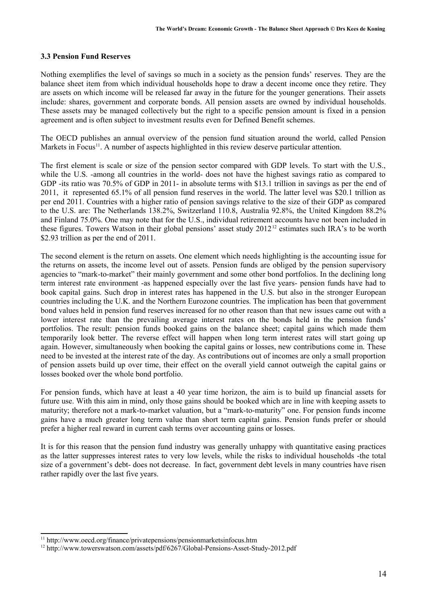#### **3.3 Pension Fund Reserves**

Nothing exemplifies the level of savings so much in a society as the pension funds' reserves. They are the balance sheet item from which individual households hope to draw a decent income once they retire. They are assets on which income will be released far away in the future for the younger generations. Their assets include: shares, government and corporate bonds. All pension assets are owned by individual households. These assets may be managed collectively but the right to a specific pension amount is fixed in a pension agreement and is often subject to investment results even for Defined Benefit schemes.

The OECD publishes an annual overview of the pension fund situation around the world, called Pension Markets in Focus<sup>11</sup>. A number of aspects highlighted in this review deserve particular attention.

The first element is scale or size of the pension sector compared with GDP levels. To start with the U.S., while the U.S. -among all countries in the world- does not have the highest savings ratio as compared to GDP -its ratio was 70.5% of GDP in 2011- in absolute terms with \$13.1 trillion in savings as per the end of 2011, it represented 65.1% of all pension fund reserves in the world. The latter level was \$20.1 trillion as per end 2011. Countries with a higher ratio of pension savings relative to the size of their GDP as compared to the U.S. are: The Netherlands 138.2%, Switzerland 110.8, Australia 92.8%, the United Kingdom 88.2% and Finland 75.0%. One may note that for the U.S., individual retirement accounts have not been included in these figures. Towers Watson in their global pensions' asset study  $2012^{12}$  estimates such IRA's to be worth \$2.93 trillion as per the end of 2011.

The second element is the return on assets. One element which needs highlighting is the accounting issue for the returns on assets, the income level out of assets. Pension funds are obliged by the pension supervisory agencies to "mark-to-market" their mainly government and some other bond portfolios. In the declining long term interest rate environment -as happened especially over the last five years- pension funds have had to book capital gains. Such drop in interest rates has happened in the U.S. but also in the stronger European countries including the U.K. and the Northern Eurozone countries. The implication has been that government bond values held in pension fund reserves increased for no other reason than that new issues came out with a lower interest rate than the prevailing average interest rates on the bonds held in the pension funds' portfolios. The result: pension funds booked gains on the balance sheet; capital gains which made them temporarily look better. The reverse effect will happen when long term interest rates will start going up again. However, simultaneously when booking the capital gains or losses, new contributions come in. These need to be invested at the interest rate of the day. As contributions out of incomes are only a small proportion of pension assets build up over time, their effect on the overall yield cannot outweigh the capital gains or losses booked over the whole bond portfolio.

For pension funds, which have at least a 40 year time horizon, the aim is to build up financial assets for future use. With this aim in mind, only those gains should be booked which are in line with keeping assets to maturity; therefore not a mark-to-market valuation, but a "mark-to-maturity" one. For pension funds income gains have a much greater long term value than short term capital gains. Pension funds prefer or should prefer a higher real reward in current cash terms over accounting gains or losses.

It is for this reason that the pension fund industry was generally unhappy with quantitative easing practices as the latter suppresses interest rates to very low levels, while the risks to individual households -the total size of a government's debt- does not decrease. In fact, government debt levels in many countries have risen rather rapidly over the last five years.

<sup>&</sup>lt;sup>11</sup> http://www.oecd.org/finance/privatepensions/pensionmarketsinfocus.htm

<sup>&</sup>lt;sup>12</sup> http://www.towerswatson.com/assets/pdf/6267/Global-Pensions-Asset-Study-2012.pdf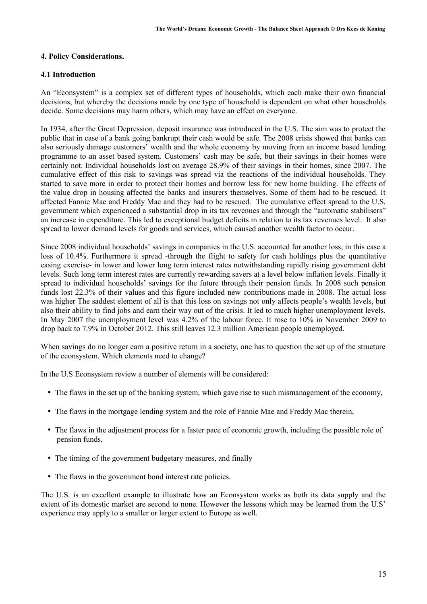#### **4. Policy Considerations.**

#### **4.1 Introduction**

An "Econsystem" is a complex set of different types of households, which each make their own financial decisions, but whereby the decisions made by one type of household is dependent on what other households decide. Some decisions may harm others, which may have an effect on everyone.

In 1934, after the Great Depression, deposit insurance was introduced in the U.S. The aim was to protect the public that in case of a bank going bankrupt their cash would be safe. The 2008 crisis showed that banks can also seriously damage customers' wealth and the whole economy by moving from an income based lending programme to an asset based system. Customers' cash may be safe, but their savings in their homes were certainly not. Individual households lost on average 28.9% of their savings in their homes, since 2007. The cumulative effect of this risk to savings was spread via the reactions of the individual households. They started to save more in order to protect their homes and borrow less for new home building. The effects of the value drop in housing affected the banks and insurers themselves. Some of them had to be rescued. It affected Fannie Mae and Freddy Mac and they had to be rescued. The cumulative effect spread to the U.S. government which experienced a substantial drop in its tax revenues and through the "automatic stabilisers" an increase in expenditure. This led to exceptional budget deficits in relation to its tax revenues level. It also spread to lower demand levels for goods and services, which caused another wealth factor to occur.

Since 2008 individual households' savings in companies in the U.S. accounted for another loss, in this case a loss of 10.4%. Furthermore it spread -through the flight to safety for cash holdings plus the quantitative easing exercise- in lower and lower long term interest rates notwithstanding rapidly rising government debt levels. Such long term interest rates are currently rewarding savers at a level below inflation levels. Finally it spread to individual households' savings for the future through their pension funds. In 2008 such pension funds lost 22.3% of their values and this figure included new contributions made in 2008. The actual loss was higher The saddest element of all is that this loss on savings not only affects people's wealth levels, but also their ability to find jobs and earn their way out of the crisis. It led to much higher unemployment levels. In May 2007 the unemployment level was 4.2% of the labour force. It rose to 10% in November 2009 to drop back to 7.9% in October 2012. This still leaves 12.3 million American people unemployed.

When savings do no longer earn a positive return in a society, one has to question the set up of the structure of the econsystem. Which elements need to change?

In the U.S Econsystem review a number of elements will be considered:

- The flaws in the set up of the banking system, which gave rise to such mismanagement of the economy,
- The flaws in the mortgage lending system and the role of Fannie Mae and Freddy Mac therein,
- The flaws in the adjustment process for a faster pace of economic growth, including the possible role of pension funds,
- The timing of the government budgetary measures, and finally
- The flaws in the government bond interest rate policies.

The U.S. is an excellent example to illustrate how an Econsystem works as both its data supply and the extent of its domestic market are second to none. However the lessons which may be learned from the U.S' experience may apply to a smaller or larger extent to Europe as well.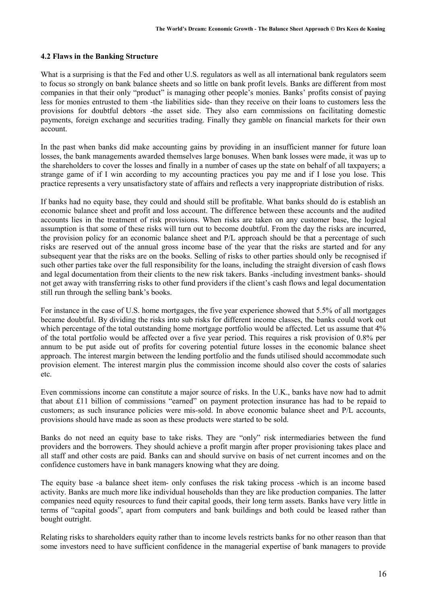#### **4.2 Flaws in the Banking Structure**

What is a surprising is that the Fed and other U.S. regulators as well as all international bank regulators seem to focus so strongly on bank balance sheets and so little on bank profit levels. Banks are different from most companies in that their only "product" is managing other people's monies. Banks' profits consist of paying less for monies entrusted to them -the liabilities side- than they receive on their loans to customers less the provisions for doubtful debtors -the asset side. They also earn commissions on facilitating domestic payments, foreign exchange and securities trading. Finally they gamble on financial markets for their own account.

In the past when banks did make accounting gains by providing in an insufficient manner for future loan losses, the bank managements awarded themselves large bonuses. When bank losses were made, it was up to the shareholders to cover the losses and finally in a number of cases up the state on behalf of all taxpayers; a strange game of if I win according to my accounting practices you pay me and if I lose you lose. This practice represents a very unsatisfactory state of affairs and reflects a very inappropriate distribution of risks.

If banks had no equity base, they could and should still be profitable. What banks should do is establish an economic balance sheet and profit and loss account. The difference between these accounts and the audited accounts lies in the treatment of risk provisions. When risks are taken on any customer base, the logical assumption is that some of these risks will turn out to become doubtful. From the day the risks are incurred, the provision policy for an economic balance sheet and P/L approach should be that a percentage of such risks are reserved out of the annual gross income base of the year that the risks are started and for any subsequent year that the risks are on the books. Selling of risks to other parties should only be recognised if such other parties take over the full responsibility for the loans, including the straight diversion of cash flows and legal documentation from their clients to the new risk takers. Banks -including investment banks- should not get away with transferring risks to other fund providers if the client's cash flows and legal documentation still run through the selling bank's books.

For instance in the case of U.S. home mortgages, the five year experience showed that 5.5% of all mortgages became doubtful. By dividing the risks into sub risks for different income classes, the banks could work out which percentage of the total outstanding home mortgage portfolio would be affected. Let us assume that  $4\%$ of the total portfolio would be affected over a five year period. This requires a risk provision of 0.8% per annum to be put aside out of profits for covering potential future losses in the economic balance sheet approach. The interest margin between the lending portfolio and the funds utilised should accommodate such provision element. The interest margin plus the commission income should also cover the costs of salaries etc.

Even commissions income can constitute a major source of risks. In the U.K., banks have now had to admit that about £11 billion of commissions "earned" on payment protection insurance has had to be repaid to customers; as such insurance policies were mis-sold. In above economic balance sheet and P/L accounts, provisions should have made as soon as these products were started to be sold.

Banks do not need an equity base to take risks. They are "only" risk intermediaries between the fund providers and the borrowers. They should achieve a profit margin after proper provisioning takes place and all staff and other costs are paid. Banks can and should survive on basis of net current incomes and on the confidence customers have in bank managers knowing what they are doing.

The equity base -a balance sheet item- only confuses the risk taking process -which is an income based activity. Banks are much more like individual households than they are like production companies. The latter companies need equity resources to fund their capital goods, their long term assets. Banks have very little in terms of "capital goods", apart from computers and bank buildings and both could be leased rather than bought outright.

Relating risks to shareholders equity rather than to income levels restricts banks for no other reason than that some investors need to have sufficient confidence in the managerial expertise of bank managers to provide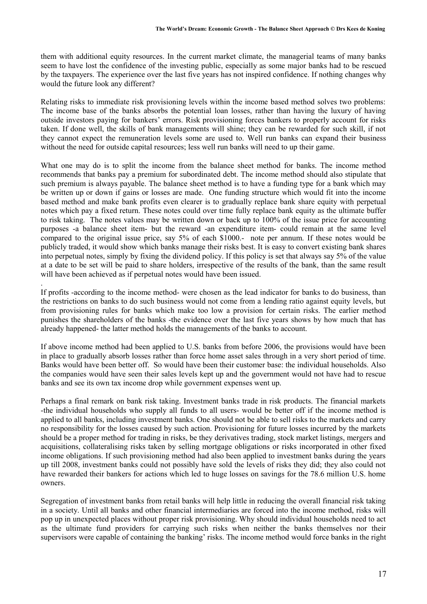them with additional equity resources. In the current market climate, the managerial teams of many banks seem to have lost the confidence of the investing public, especially as some major banks had to be rescued by the taxpayers. The experience over the last five years has not inspired confidence. If nothing changes why would the future look any different?

Relating risks to immediate risk provisioning levels within the income based method solves two problems: The income base of the banks absorbs the potential loan losses, rather than having the luxury of having outside investors paying for bankers' errors. Risk provisioning forces bankers to properly account for risks taken. If done well, the skills of bank managements will shine; they can be rewarded for such skill, if not they cannot expect the remuneration levels some are used to. Well run banks can expand their business without the need for outside capital resources; less well run banks will need to up their game.

What one may do is to split the income from the balance sheet method for banks. The income method recommends that banks pay a premium for subordinated debt. The income method should also stipulate that such premium is always payable. The balance sheet method is to have a funding type for a bank which may be written up or down if gains or losses are made. One funding structure which would fit into the income based method and make bank profits even clearer is to gradually replace bank share equity with perpetual notes which pay a fixed return. These notes could over time fully replace bank equity as the ultimate buffer to risk taking. The notes values may be written down or back up to 100% of the issue price for accounting purposes -a balance sheet item- but the reward -an expenditure item- could remain at the same level compared to the original issue price, say 5% of each \$1000.- note per annum. If these notes would be publicly traded, it would show which banks manage their risks best. It is easy to convert existing bank shares into perpetual notes, simply by fixing the dividend policy. If this policy is set that always say 5% of the value at a date to be set will be paid to share holders, irrespective of the results of the bank, than the same result will have been achieved as if perpetual notes would have been issued.

If profits -according to the income method- were chosen as the lead indicator for banks to do business, than the restrictions on banks to do such business would not come from a lending ratio against equity levels, but from provisioning rules for banks which make too low a provision for certain risks. The earlier method punishes the shareholders of the banks -the evidence over the last five years shows by how much that has already happened- the latter method holds the managements of the banks to account.

.

If above income method had been applied to U.S. banks from before 2006, the provisions would have been in place to gradually absorb losses rather than force home asset sales through in a very short period of time. Banks would have been better off. So would have been their customer base: the individual households. Also the companies would have seen their sales levels kept up and the government would not have had to rescue banks and see its own tax income drop while government expenses went up.

Perhaps a final remark on bank risk taking. Investment banks trade in risk products. The financial markets -the individual households who supply all funds to all users- would be better off if the income method is applied to all banks, including investment banks. One should not be able to sell risks to the markets and carry no responsibility for the losses caused by such action. Provisioning for future losses incurred by the markets should be a proper method for trading in risks, be they derivatives trading, stock market listings, mergers and acquisitions, collateralising risks taken by selling mortgage obligations or risks incorporated in other fixed income obligations. If such provisioning method had also been applied to investment banks during the years up till 2008, investment banks could not possibly have sold the levels of risks they did; they also could not have rewarded their bankers for actions which led to huge losses on savings for the 78.6 million U.S. home owners.

Segregation of investment banks from retail banks will help little in reducing the overall financial risk taking in a society. Until all banks and other financial intermediaries are forced into the income method, risks will pop up in unexpected places without proper risk provisioning. Why should individual households need to act as the ultimate fund providers for carrying such risks when neither the banks themselves nor their supervisors were capable of containing the banking' risks. The income method would force banks in the right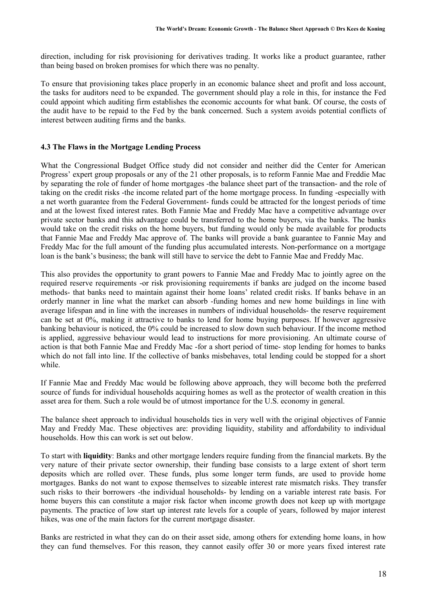direction, including for risk provisioning for derivatives trading. It works like a product guarantee, rather than being based on broken promises for which there was no penalty.

To ensure that provisioning takes place properly in an economic balance sheet and profit and loss account, the tasks for auditors need to be expanded. The government should play a role in this, for instance the Fed could appoint which auditing firm establishes the economic accounts for what bank. Of course, the costs of the audit have to be repaid to the Fed by the bank concerned. Such a system avoids potential conflicts of interest between auditing firms and the banks.

## **4.3 The Flaws in the Mortgage Lending Process**

What the Congressional Budget Office study did not consider and neither did the Center for American Progress' expert group proposals or any of the 21 other proposals, is to reform Fannie Mae and Freddie Mac by separating the role of funder of home mortgages -the balance sheet part of the transaction- and the role of taking on the credit risks -the income related part of the home mortgage process. In funding -especially with a net worth guarantee from the Federal Government- funds could be attracted for the longest periods of time and at the lowest fixed interest rates. Both Fannie Mae and Freddy Mac have a competitive advantage over private sector banks and this advantage could be transferred to the home buyers, via the banks. The banks would take on the credit risks on the home buyers, but funding would only be made available for products that Fannie Mae and Freddy Mac approve of. The banks will provide a bank guarantee to Fannie May and Freddy Mac for the full amount of the funding plus accumulated interests. Non-performance on a mortgage loan is the bank's business; the bank will still have to service the debt to Fannie Mae and Freddy Mac.

This also provides the opportunity to grant powers to Fannie Mae and Freddy Mac to jointly agree on the required reserve requirements -or risk provisioning requirements if banks are judged on the income based methods- that banks need to maintain against their home loans' related credit risks. If banks behave in an orderly manner in line what the market can absorb -funding homes and new home buildings in line with average lifespan and in line with the increases in numbers of individual households- the reserve requirement can be set at 0%, making it attractive to banks to lend for home buying purposes. If however aggressive banking behaviour is noticed, the 0% could be increased to slow down such behaviour. If the income method is applied, aggressive behaviour would lead to instructions for more provisioning. An ultimate course of action is that both Fannie Mae and Freddy Mac -for a short period of time- stop lending for homes to banks which do not fall into line. If the collective of banks misbehaves, total lending could be stopped for a short while.

If Fannie Mae and Freddy Mac would be following above approach, they will become both the preferred source of funds for individual households acquiring homes as well as the protector of wealth creation in this asset area for them. Such a role would be of utmost importance for the U.S. economy in general.

The balance sheet approach to individual households ties in very well with the original objectives of Fannie May and Freddy Mac. These objectives are: providing liquidity, stability and affordability to individual households. How this can work is set out below.

To start with **liquidity**: Banks and other mortgage lenders require funding from the financial markets. By the very nature of their private sector ownership, their funding base consists to a large extent of short term deposits which are rolled over. These funds, plus some longer term funds, are used to provide home mortgages. Banks do not want to expose themselves to sizeable interest rate mismatch risks. They transfer such risks to their borrowers -the individual households- by lending on a variable interest rate basis. For home buyers this can constitute a major risk factor when income growth does not keep up with mortgage payments. The practice of low start up interest rate levels for a couple of years, followed by major interest hikes, was one of the main factors for the current mortgage disaster.

Banks are restricted in what they can do on their asset side, among others for extending home loans, in how they can fund themselves. For this reason, they cannot easily offer 30 or more years fixed interest rate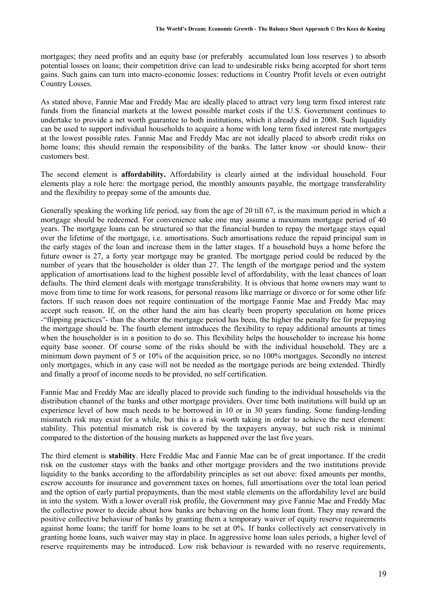mortgages; they need profits and an equity base (or preferably accumulated loan loss reserves ) to absorb potential losses on loans; their competition drive can lead to undesirable risks being accepted for short term gains. Such gains can turn into macro-economic losses: reductions in Country Profit levels or even outright Country Losses.

As stated above, Fannie Mae and Freddy Mac are ideally placed to attract very long term fixed interest rate funds from the financial markets at the lowest possible market costs if the U.S. Government continues to undertake to provide a net worth guarantee to both institutions, which it already did in 2008. Such liquidity can be used to support individual households to acquire a home with long term fixed interest rate mortgages at the lowest possible rates. Fannie Mae and Freddy Mac are not ideally placed to absorb credit risks on home loans; this should remain the responsibility of the banks. The latter know -or should know- their customers best.

The second element is **affordability.** Affordability is clearly aimed at the individual household. Four elements play a role here: the mortgage period, the monthly amounts payable, the mortgage transferability and the flexibility to prepay some of the amounts due.

Generally speaking the working life period, say from the age of 20 till 67, is the maximum period in which a mortgage should be redeemed. For convenience sake one may assume a maximum mortgage period of 40 years. The mortgage loans can be structured so that the financial burden to repay the mortgage stays equal over the lifetime of the mortgage, i.e. amortisations. Such amortisations reduce the repaid principal sum in the early stages of the loan and increase them in the latter stages. If a household buys a home before the future owner is 27, a forty year mortgage may be granted. The mortgage period could be reduced by the number of years that the householder is older than 27. The length of the mortgage period and the system application of amortisations lead to the highest possible level of affordability, with the least chances of loan defaults. The third element deals with mortgage transferability. It is obvious that home owners may want to move from time to time for work reasons, for personal reasons like marriage or divorce or for some other life factors. If such reason does not require continuation of the mortgage Fannie Mae and Freddy Mac may accept such reason. If, on the other hand the aim has clearly been property speculation on home prices -"flipping practices"- than the shorter the mortgage period has been, the higher the penalty fee for prepaying the mortgage should be. The fourth element introduces the flexibility to repay additional amounts at times when the householder is in a position to do so. This flexibility helps the householder to increase his home equity base sooner. Of course some of the risks should be with the individual household. They are a minimum down payment of 5 or 10% of the acquisition price, so no 100% mortgages. Secondly no interest only mortgages, which in any case will not be needed as the mortgage periods are being extended. Thirdly and finally a proof of income needs to be provided, no self certification.

Fannie Mae and Freddy Mac are ideally placed to provide such funding to the individual households via the distribution channel of the banks and other mortgage providers. Over time both institutions will build up an experience level of how much needs to be borrowed in 10 or in 30 years funding. Some funding-lending mismatch risk may exist for a while, but this is a risk worth taking in order to achieve the next element: stability. This potential mismatch risk is covered by the taxpayers anyway, but such risk is minimal compared to the distortion of the housing markets as happened over the last five years.

The third element is **stability**. Here Freddie Mac and Fannie Mae can be of great importance. If the credit risk on the customer stays with the banks and other mortgage providers and the two institutions provide liquidity to the banks according to the affordability principles as set out above: fixed amounts per months, escrow accounts for insurance and government taxes on homes, full amortisations over the total loan period and the option of early partial prepayments, than the most stable elements on the affordability level are build in into the system. With a lower overall risk profile, the Government may give Fannie Mae and Freddy Mac the collective power to decide about how banks are behaving on the home loan front. They may reward the positive collective behaviour of banks by granting them a temporary waiver of equity reserve requirements against home loans; the tariff for home loans to be set at 0%. If banks collectively act conservatively in granting home loans, such waiver may stay in place. In aggressive home loan sales periods, a higher level of reserve requirements may be introduced. Low risk behaviour is rewarded with no reserve requirements,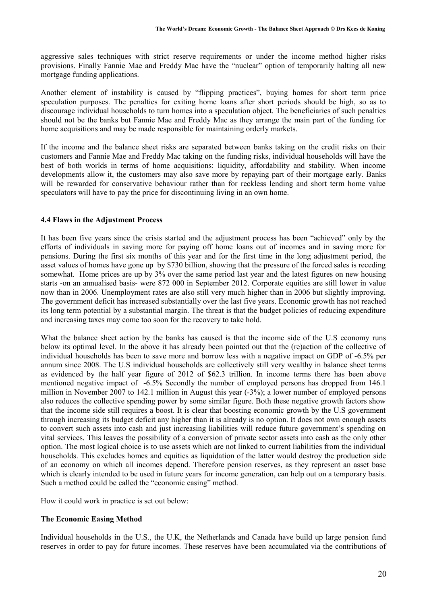aggressive sales techniques with strict reserve requirements or under the income method higher risks provisions. Finally Fannie Mae and Freddy Mac have the "nuclear" option of temporarily halting all new mortgage funding applications.

Another element of instability is caused by "flipping practices", buying homes for short term price speculation purposes. The penalties for exiting home loans after short periods should be high, so as to discourage individual households to turn homes into a speculation object. The beneficiaries of such penalties should not be the banks but Fannie Mae and Freddy Mac as they arrange the main part of the funding for home acquisitions and may be made responsible for maintaining orderly markets.

If the income and the balance sheet risks are separated between banks taking on the credit risks on their customers and Fannie Mae and Freddy Mac taking on the funding risks, individual households will have the best of both worlds in terms of home acquisitions: liquidity, affordability and stability. When income developments allow it, the customers may also save more by repaying part of their mortgage early. Banks will be rewarded for conservative behaviour rather than for reckless lending and short term home value speculators will have to pay the price for discontinuing living in an own home.

#### **4.4 Flaws in the Adjustment Process**

It has been five years since the crisis started and the adjustment process has been "achieved" only by the efforts of individuals in saving more for paying off home loans out of incomes and in saving more for pensions. During the first six months of this year and for the first time in the long adjustment period, the asset values of homes have gone up by \$730 billion, showing that the pressure of the forced sales is receding somewhat. Home prices are up by 3% over the same period last year and the latest figures on new housing starts -on an annualised basis- were 872 000 in September 2012. Corporate equities are still lower in value now than in 2006. Unemployment rates are also still very much higher than in 2006 but slightly improving. The government deficit has increased substantially over the last five years. Economic growth has not reached its long term potential by a substantial margin. The threat is that the budget policies of reducing expenditure and increasing taxes may come too soon for the recovery to take hold.

What the balance sheet action by the banks has caused is that the income side of the U.S economy runs below its optimal level. In the above it has already been pointed out that the (re)action of the collective of individual households has been to save more and borrow less with a negative impact on GDP of -6.5% per annum since 2008. The U.S individual households are collectively still very wealthy in balance sheet terms as evidenced by the half year figure of 2012 of \$62.3 trillion. In income terms there has been above mentioned negative impact of -6.5% Secondly the number of employed persons has dropped from 146.1 million in November 2007 to 142.1 million in August this year (-3%); a lower number of employed persons also reduces the collective spending power by some similar figure. Both these negative growth factors show that the income side still requires a boost. It is clear that boosting economic growth by the U.S government through increasing its budget deficit any higher than it is already is no option. It does not own enough assets to convert such assets into cash and just increasing liabilities will reduce future government's spending on vital services. This leaves the possibility of a conversion of private sector assets into cash as the only other option. The most logical choice is to use assets which are not linked to current liabilities from the individual households. This excludes homes and equities as liquidation of the latter would destroy the production side of an economy on which all incomes depend. Therefore pension reserves, as they represent an asset base which is clearly intended to be used in future years for income generation, can help out on a temporary basis. Such a method could be called the "economic easing" method.

How it could work in practice is set out below:

#### **The Economic Easing Method**

Individual households in the U.S., the U.K, the Netherlands and Canada have build up large pension fund reserves in order to pay for future incomes. These reserves have been accumulated via the contributions of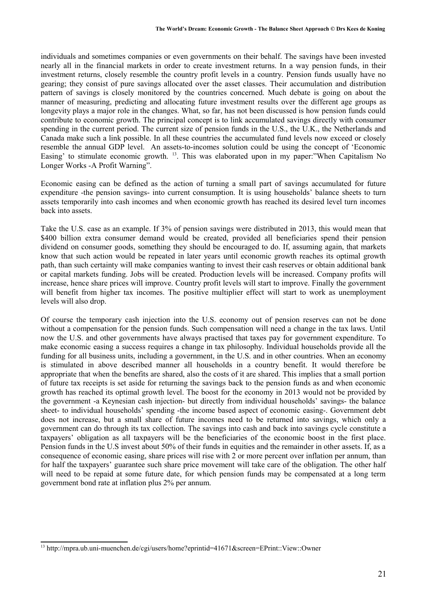individuals and sometimes companies or even governments on their behalf. The savings have been invested nearly all in the financial markets in order to create investment returns. In a way pension funds, in their investment returns, closely resemble the country profit levels in a country. Pension funds usually have no gearing; they consist of pure savings allocated over the asset classes. Their accumulation and distribution pattern of savings is closely monitored by the countries concerned. Much debate is going on about the manner of measuring, predicting and allocating future investment results over the different age groups as longevity plays a major role in the changes. What, so far, has not been discussed is how pension funds could contribute to economic growth. The principal concept is to link accumulated savings directly with consumer spending in the current period. The current size of pension funds in the U.S., the U.K., the Netherlands and Canada make such a link possible. In all these countries the accumulated fund levels now exceed or closely resemble the annual GDP level. An assets-to-incomes solution could be using the concept of 'Economic Easing' to stimulate economic growth. <sup>13</sup>. This was elaborated upon in my paper:"When Capitalism No Longer Works -A Profit Warning".

Economic easing can be defined as the action of turning a small part of savings accumulated for future expenditure -the pension savings- into current consumption. It is using households' balance sheets to turn assets temporarily into cash incomes and when economic growth has reached its desired level turn incomes back into assets.

Take the U.S. case as an example. If 3% of pension savings were distributed in 2013, this would mean that \$400 billion extra consumer demand would be created, provided all beneficiaries spend their pension dividend on consumer goods, something they should be encouraged to do. If, assuming again, that markets know that such action would be repeated in later years until economic growth reaches its optimal growth path, than such certainty will make companies wanting to invest their cash reserves or obtain additional bank or capital markets funding. Jobs will be created. Production levels will be increased. Company profits will increase, hence share prices will improve. Country profit levels will start to improve. Finally the government will benefit from higher tax incomes. The positive multiplier effect will start to work as unemployment levels will also drop.

Of course the temporary cash injection into the U.S. economy out of pension reserves can not be done without a compensation for the pension funds. Such compensation will need a change in the tax laws. Until now the U.S. and other governments have always practised that taxes pay for government expenditure. To make economic easing a success requires a change in tax philosophy. Individual households provide all the funding for all business units, including a government, in the U.S. and in other countries. When an economy is stimulated in above described manner all households in a country benefit. It would therefore be appropriate that when the benefits are shared, also the costs of it are shared. This implies that a small portion of future tax receipts is set aside for returning the savings back to the pension funds as and when economic growth has reached its optimal growth level. The boost for the economy in 2013 would not be provided by the government -a Keynesian cash injection- but directly from individual households' savings- the balance sheet- to individual households' spending -the income based aspect of economic easing-. Government debt does not increase, but a small share of future incomes need to be returned into savings, which only a government can do through its tax collection. The savings into cash and back into savings cycle constitute a taxpayers' obligation as all taxpayers will be the beneficiaries of the economic boost in the first place. Pension funds in the U.S invest about 50% of their funds in equities and the remainder in other assets. If, as a consequence of economic easing, share prices will rise with 2 or more percent over inflation per annum, than for half the taxpayers' guarantee such share price movement will take care of the obligation. The other half will need to be repaid at some future date, for which pension funds may be compensated at a long term government bond rate at inflation plus 2% per annum.

<sup>13</sup> http://mpra.ub.uni-muenchen.de/cgi/users/home?eprintid=41671&screen=EPrint::View::Owner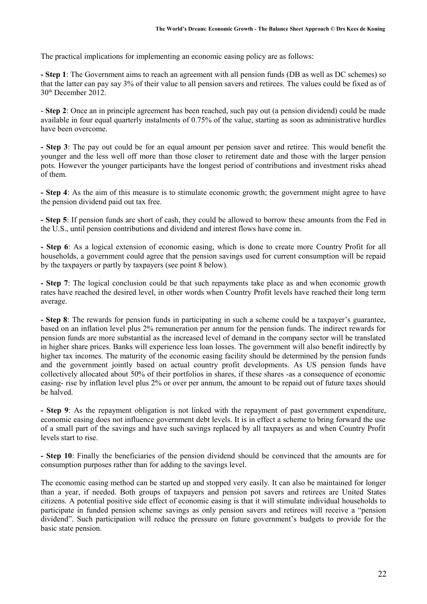The practical implications for implementing an economic easing policy are as follows:

**- Step 1**: The Government aims to reach an agreement with all pension funds (DB as well as DC schemes) so that the latter can pay say 3% of their value to all pension savers and retirees. The values could be fixed as of 30th December 2012.

- **Step 2**: Once an in principle agreement has been reached, such pay out (a pension dividend) could be made available in four equal quarterly instalments of 0.75% of the value, starting as soon as administrative hurdles have been overcome.

**- Step 3**: The pay out could be for an equal amount per pension saver and retiree. This would benefit the younger and the less well off more than those closer to retirement date and those with the larger pension pots. However the younger participants have the longest period of contributions and investment risks ahead of them.

**- Step 4**: As the aim of this measure is to stimulate economic growth; the government might agree to have the pension dividend paid out tax free.

**- Step 5**: If pension funds are short of cash, they could be allowed to borrow these amounts from the Fed in the U.S., until pension contributions and dividend and interest flows have come in.

**- Step 6**: As a logical extension of economic easing, which is done to create more Country Profit for all households, a government could agree that the pension savings used for current consumption will be repaid by the taxpayers or partly by taxpayers (see point 8 below).

**- Step 7**: The logical conclusion could be that such repayments take place as and when economic growth rates have reached the desired level, in other words when Country Profit levels have reached their long term average.

**- Step 8**: The rewards for pension funds in participating in such a scheme could be a taxpayer's guarantee, based on an inflation level plus 2% remuneration per annum for the pension funds. The indirect rewards for pension funds are more substantial as the increased level of demand in the company sector will be translated in higher share prices. Banks will experience less loan losses. The government will also benefit indirectly by higher tax incomes. The maturity of the economic easing facility should be determined by the pension funds and the government jointly based on actual country profit developments. As US pension funds have collectively allocated about 50% of their portfolios in shares, if these shares -as a consequence of economic easing- rise by inflation level plus 2% or over per annum, the amount to be repaid out of future taxes should be halved.

**- Step 9**: As the repayment obligation is not linked with the repayment of past government expenditure, economic easing does not influence government debt levels. It is in effect a scheme to bring forward the use of a small part of the savings and have such savings replaced by all taxpayers as and when Country Profit levels start to rise.

**- Step 10**: Finally the beneficiaries of the pension dividend should be convinced that the amounts are for consumption purposes rather than for adding to the savings level.

The economic easing method can be started up and stopped very easily. It can also be maintained for longer than a year, if needed. Both groups of taxpayers and pension pot savers and retirees are United States citizens. A potential positive side effect of economic easing is that it will stimulate individual households to participate in funded pension scheme savings as only pension savers and retirees will receive a "pension dividend". Such participation will reduce the pressure on future government's budgets to provide for the basic state pension.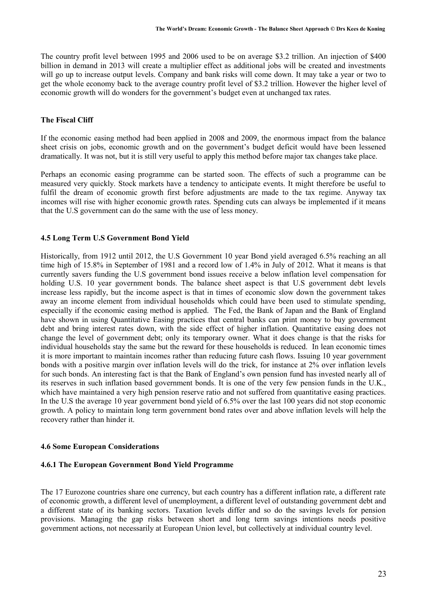The country profit level between 1995 and 2006 used to be on average \$3.2 trillion. An injection of \$400 billion in demand in 2013 will create a multiplier effect as additional jobs will be created and investments will go up to increase output levels. Company and bank risks will come down. It may take a year or two to get the whole economy back to the average country profit level of \$3.2 trillion. However the higher level of economic growth will do wonders for the government's budget even at unchanged tax rates.

## **The Fiscal Cliff**

If the economic easing method had been applied in 2008 and 2009, the enormous impact from the balance sheet crisis on jobs, economic growth and on the government's budget deficit would have been lessened dramatically. It was not, but it is still very useful to apply this method before major tax changes take place.

Perhaps an economic easing programme can be started soon. The effects of such a programme can be measured very quickly. Stock markets have a tendency to anticipate events. It might therefore be useful to fulfil the dream of economic growth first before adjustments are made to the tax regime. Anyway tax incomes will rise with higher economic growth rates. Spending cuts can always be implemented if it means that the U.S government can do the same with the use of less money.

#### **4.5 Long Term U.S Government Bond Yield**

Historically, from 1912 until 2012, the U.S Government 10 year Bond yield averaged 6.5% reaching an all time high of 15.8% in September of 1981 and a record low of 1.4% in July of 2012. What it means is that currently savers funding the U.S government bond issues receive a below inflation level compensation for holding U.S. 10 year government bonds. The balance sheet aspect is that U.S government debt levels increase less rapidly, but the income aspect is that in times of economic slow down the government takes away an income element from individual households which could have been used to stimulate spending, especially if the economic easing method is applied. The Fed, the Bank of Japan and the Bank of England have shown in using Quantitative Easing practices that central banks can print money to buy government debt and bring interest rates down, with the side effect of higher inflation. Quantitative easing does not change the level of government debt; only its temporary owner. What it does change is that the risks for individual households stay the same but the reward for these households is reduced. In lean economic times it is more important to maintain incomes rather than reducing future cash flows. Issuing 10 year government bonds with a positive margin over inflation levels will do the trick, for instance at 2% over inflation levels for such bonds. An interesting fact is that the Bank of England's own pension fund has invested nearly all of its reserves in such inflation based government bonds. It is one of the very few pension funds in the U.K., which have maintained a very high pension reserve ratio and not suffered from quantitative easing practices. In the U.S the average 10 year government bond yield of 6.5% over the last 100 years did not stop economic growth. A policy to maintain long term government bond rates over and above inflation levels will help the recovery rather than hinder it.

#### **4.6 Some European Considerations**

#### **4.6.1 The European Government Bond Yield Programme**

The 17 Eurozone countries share one currency, but each country has a different inflation rate, a different rate of economic growth, a different level of unemployment, a different level of outstanding government debt and a different state of its banking sectors. Taxation levels differ and so do the savings levels for pension provisions. Managing the gap risks between short and long term savings intentions needs positive government actions, not necessarily at European Union level, but collectively at individual country level.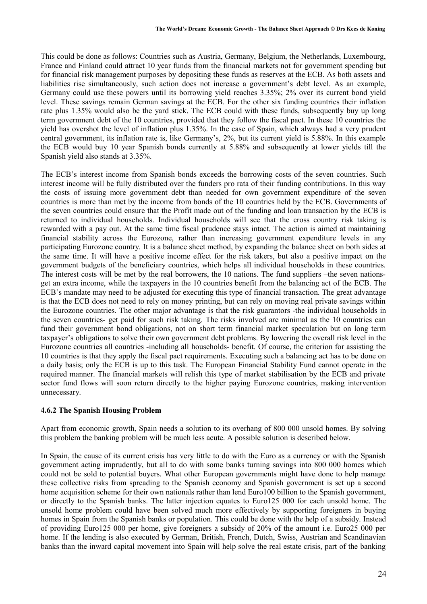This could be done as follows: Countries such as Austria, Germany, Belgium, the Netherlands, Luxembourg, France and Finland could attract 10 year funds from the financial markets not for government spending but for financial risk management purposes by depositing these funds as reserves at the ECB. As both assets and liabilities rise simultaneously, such action does not increase a government's debt level. As an example, Germany could use these powers until its borrowing yield reaches 3.35%; 2% over its current bond yield level. These savings remain German savings at the ECB. For the other six funding countries their inflation rate plus 1.35% would also be the yard stick. The ECB could with these funds, subsequently buy up long term government debt of the 10 countries, provided that they follow the fiscal pact. In these 10 countries the yield has overshot the level of inflation plus 1.35%. In the case of Spain, which always had a very prudent central government, its inflation rate is, like Germany's, 2%, but its current yield is 5.88%. In this example the ECB would buy 10 year Spanish bonds currently at 5.88% and subsequently at lower yields till the Spanish yield also stands at 3.35%.

The ECB's interest income from Spanish bonds exceeds the borrowing costs of the seven countries. Such interest income will be fully distributed over the funders pro rata of their funding contributions. In this way the costs of issuing more government debt than needed for own government expenditure of the seven countries is more than met by the income from bonds of the 10 countries held by the ECB. Governments of the seven countries could ensure that the Profit made out of the funding and loan transaction by the ECB is returned to individual households. Individual households will see that the cross country risk taking is rewarded with a pay out. At the same time fiscal prudence stays intact. The action is aimed at maintaining financial stability across the Eurozone, rather than increasing government expenditure levels in any participating Eurozone country. It is a balance sheet method, by expanding the balance sheet on both sides at the same time. It will have a positive income effect for the risk takers, but also a positive impact on the government budgets of the beneficiary countries, which helps all individual households in these countries. The interest costs will be met by the real borrowers, the 10 nations. The fund suppliers –the seven nationsget an extra income, while the taxpayers in the 10 countries benefit from the balancing act of the ECB. The ECB's mandate may need to be adjusted for executing this type of financial transaction. The great advantage is that the ECB does not need to rely on money printing, but can rely on moving real private savings within the Eurozone countries. The other major advantage is that the risk guarantors -the individual households in the seven countries- get paid for such risk taking. The risks involved are minimal as the 10 countries can fund their government bond obligations, not on short term financial market speculation but on long term taxpayer's obligations to solve their own government debt problems. By lowering the overall risk level in the Eurozone countries all countries -including all households- benefit. Of course, the criterion for assisting the 10 countries is that they apply the fiscal pact requirements. Executing such a balancing act has to be done on a daily basis; only the ECB is up to this task. The European Financial Stability Fund cannot operate in the required manner. The financial markets will relish this type of market stabilisation by the ECB and private sector fund flows will soon return directly to the higher paying Eurozone countries, making intervention unnecessary.

## **4.6.2 The Spanish Housing Problem**

Apart from economic growth, Spain needs a solution to its overhang of 800 000 unsold homes. By solving this problem the banking problem will be much less acute. A possible solution is described below.

In Spain, the cause of its current crisis has very little to do with the Euro as a currency or with the Spanish government acting imprudently, but all to do with some banks turning savings into 800 000 homes which could not be sold to potential buyers. What other European governments might have done to help manage these collective risks from spreading to the Spanish economy and Spanish government is set up a second home acquisition scheme for their own nationals rather than lend Euro100 billion to the Spanish government, or directly to the Spanish banks. The latter injection equates to Euro125 000 for each unsold home. The unsold home problem could have been solved much more effectively by supporting foreigners in buying homes in Spain from the Spanish banks or population. This could be done with the help of a subsidy. Instead of providing Euro125 000 per home, give foreigners a subsidy of 20% of the amount i.e. Euro25 000 per home. If the lending is also executed by German, British, French, Dutch, Swiss, Austrian and Scandinavian banks than the inward capital movement into Spain will help solve the real estate crisis, part of the banking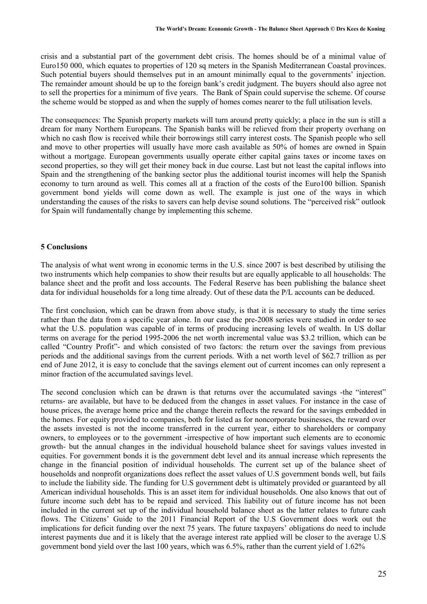crisis and a substantial part of the government debt crisis. The homes should be of a minimal value of Euro150 000, which equates to properties of 120 sq meters in the Spanish Mediterranean Coastal provinces. Such potential buyers should themselves put in an amount minimally equal to the governments' injection. The remainder amount should be up to the foreign bank's credit judgment. The buyers should also agree not to sell the properties for a minimum of five years. The Bank of Spain could supervise the scheme. Of course the scheme would be stopped as and when the supply of homes comes nearer to the full utilisation levels.

The consequences: The Spanish property markets will turn around pretty quickly; a place in the sun is still a dream for many Northern Europeans. The Spanish banks will be relieved from their property overhang on which no cash flow is received while their borrowings still carry interest costs. The Spanish people who sell and move to other properties will usually have more cash available as 50% of homes are owned in Spain without a mortgage. European governments usually operate either capital gains taxes or income taxes on second properties, so they will get their money back in due course. Last but not least the capital inflows into Spain and the strengthening of the banking sector plus the additional tourist incomes will help the Spanish economy to turn around as well. This comes all at a fraction of the costs of the Euro100 billion. Spanish government bond yields will come down as well. The example is just one of the ways in which understanding the causes of the risks to savers can help devise sound solutions. The "perceived risk" outlook for Spain will fundamentally change by implementing this scheme.

#### **5 Conclusions**

The analysis of what went wrong in economic terms in the U.S. since 2007 is best described by utilising the two instruments which help companies to show their results but are equally applicable to all households: The balance sheet and the profit and loss accounts. The Federal Reserve has been publishing the balance sheet data for individual households for a long time already. Out of these data the P/L accounts can be deduced.

The first conclusion, which can be drawn from above study, is that it is necessary to study the time series rather than the data from a specific year alone. In our case the pre-2008 series were studied in order to see what the U.S. population was capable of in terms of producing increasing levels of wealth. In US dollar terms on average for the period 1995-2006 the net worth incremental value was \$3.2 trillion, which can be called "Country Profit"- and which consisted of two factors: the return over the savings from previous periods and the additional savings from the current periods. With a net worth level of \$62.7 trillion as per end of June 2012, it is easy to conclude that the savings element out of current incomes can only represent a minor fraction of the accumulated savings level.

The second conclusion which can be drawn is that returns over the accumulated savings -the "interest" returns- are available, but have to be deduced from the changes in asset values. For instance in the case of house prices, the average home price and the change therein reflects the reward for the savings embedded in the homes. For equity provided to companies, both for listed as for noncorporate businesses, the reward over the assets invested is not the income transferred in the current year, either to shareholders or company owners, to employees or to the government -irrespective of how important such elements are to economic growth- but the annual changes in the individual household balance sheet for savings values invested in equities. For government bonds it is the government debt level and its annual increase which represents the change in the financial position of individual households. The current set up of the balance sheet of households and nonprofit organizations does reflect the asset values of U.S government bonds well, but fails to include the liability side. The funding for U.S government debt is ultimately provided or guaranteed by all American individual households. This is an asset item for individual households. One also knows that out of future income such debt has to be repaid and serviced. This liability out of future income has not been included in the current set up of the individual household balance sheet as the latter relates to future cash flows. The Citizens' Guide to the 2011 Financial Report of the U.S Government does work out the implications for deficit funding over the next 75 years. The future taxpayers' obligations do need to include interest payments due and it is likely that the average interest rate applied will be closer to the average U.S government bond yield over the last 100 years, which was 6.5%, rather than the current yield of 1.62%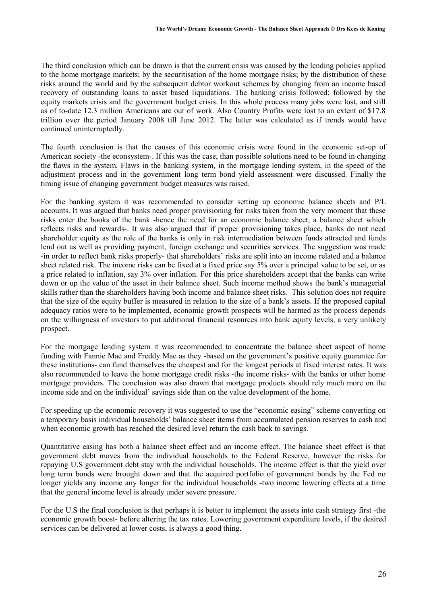The third conclusion which can be drawn is that the current crisis was caused by the lending policies applied to the home mortgage markets; by the securitisation of the home mortgage risks; by the distribution of these risks around the world and by the subsequent debtor workout schemes by changing from an income based recovery of outstanding loans to asset based liquidations. The banking crisis followed; followed by the equity markets crisis and the government budget crisis. In this whole process many jobs were lost, and still as of to-date 12.3 million Americans are out of work. Also Country Profits were lost to an extent of \$17.8 trillion over the period January 2008 till June 2012. The latter was calculated as if trends would have continued uninterruptedly.

The fourth conclusion is that the causes of this economic crisis were found in the economic set-up of American society -the econsystem-. If this was the case, than possible solutions need to be found in changing the flaws in the system. Flaws in the banking system, in the mortgage lending system, in the speed of the adjustment process and in the government long term bond yield assessment were discussed. Finally the timing issue of changing government budget measures was raised.

For the banking system it was recommended to consider setting up economic balance sheets and P/L accounts. It was argued that banks need proper provisioning for risks taken from the very moment that these risks enter the books of the bank -hence the need for an economic balance sheet, a balance sheet which reflects risks and rewards-. It was also argued that if proper provisioning takes place, banks do not need shareholder equity as the role of the banks is only in risk intermediation between funds attracted and funds lend out as well as providing payment, foreign exchange and securities services. The suggestion was made -in order to reflect bank risks properly- that shareholders' risks are split into an income related and a balance sheet related risk. The income risks can be fixed at a fixed price say 5% over a principal value to be set, or as a price related to inflation, say 3% over inflation. For this price shareholders accept that the banks can write down or up the value of the asset in their balance sheet. Such income method shows the bank's managerial skills rather than the shareholders having both income and balance sheet risks. This solution does not require that the size of the equity buffer is measured in relation to the size of a bank's assets. If the proposed capital adequacy ratios were to be implemented, economic growth prospects will be harmed as the process depends on the willingness of investors to put additional financial resources into bank equity levels, a very unlikely prospect.

For the mortgage lending system it was recommended to concentrate the balance sheet aspect of home funding with Fannie Mae and Freddy Mac as they -based on the government's positive equity guarantee for these institutions- can fund themselves the cheapest and for the longest periods at fixed interest rates. It was also recommended to leave the home mortgage credit risks -the income risks- with the banks or other home mortgage providers. The conclusion was also drawn that mortgage products should rely much more on the income side and on the individual' savings side than on the value development of the home.

For speeding up the economic recovery it was suggested to use the "economic easing" scheme converting on a temporary basis individual households' balance sheet items from accumulated pension reserves to cash and when economic growth has reached the desired level return the cash back to savings.

Quantitative easing has both a balance sheet effect and an income effect. The balance sheet effect is that government debt moves from the individual households to the Federal Reserve, however the risks for repaying U.S government debt stay with the individual households. The income effect is that the yield over long term bonds were brought down and that the acquired portfolio of government bonds by the Fed no longer yields any income any longer for the individual households -two income lowering effects at a time that the general income level is already under severe pressure.

For the U.S the final conclusion is that perhaps it is better to implement the assets into cash strategy first -the economic growth boost- before altering the tax rates. Lowering government expenditure levels, if the desired services can be delivered at lower costs, is always a good thing.